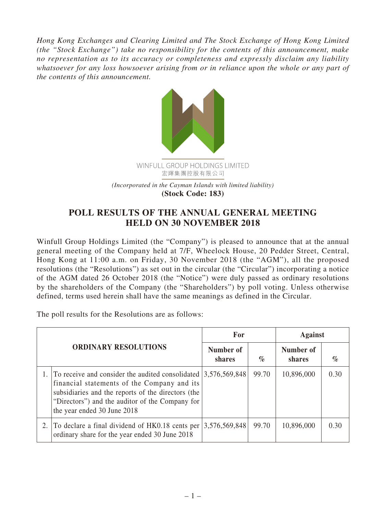*Hong Kong Exchanges and Clearing Limited and The Stock Exchange of Hong Kong Limited (the "Stock Exchange") take no responsibility for the contents of this announcement, make no representation as to its accuracy or completeness and expressly disclaim any liability whatsoever for any loss howsoever arising from or in reliance upon the whole or any part of the contents of this announcement.*



## **POLL RESULTS OF THE ANNUAL GENERAL MEETING HELD ON 30 NOVEMBER 2018**

Winfull Group Holdings Limited (the "Company") is pleased to announce that at the annual general meeting of the Company held at 7/F, Wheelock House, 20 Pedder Street, Central, Hong Kong at 11:00 a.m. on Friday, 30 November 2018 (the "AGM"), all the proposed resolutions (the "Resolutions") as set out in the circular (the "Circular") incorporating a notice of the AGM dated 26 October 2018 (the "Notice") were duly passed as ordinary resolutions by the shareholders of the Company (the "Shareholders") by poll voting. Unless otherwise defined, terms used herein shall have the same meanings as defined in the Circular.

The poll results for the Resolutions are as follows:

| <b>ORDINARY RESOLUTIONS</b> |                                                                                                                                                                                                                                                          | For                 |                             | <b>Against</b>      |      |
|-----------------------------|----------------------------------------------------------------------------------------------------------------------------------------------------------------------------------------------------------------------------------------------------------|---------------------|-----------------------------|---------------------|------|
|                             |                                                                                                                                                                                                                                                          | Number of<br>shares | $\mathcal{O}_{\mathcal{O}}$ | Number of<br>shares | $\%$ |
|                             | To receive and consider the audited consolidated $ 3,576,569,848$<br>financial statements of the Company and its<br>subsidiaries and the reports of the directors (the<br>"Directors") and the auditor of the Company for<br>the year ended 30 June 2018 |                     | 99.70                       | 10,896,000          | 0.30 |
|                             | 2. To declare a final dividend of HK0.18 cents per<br>ordinary share for the year ended 30 June 2018                                                                                                                                                     | 3,576,569,848       | 99.70                       | 10,896,000          | 0.30 |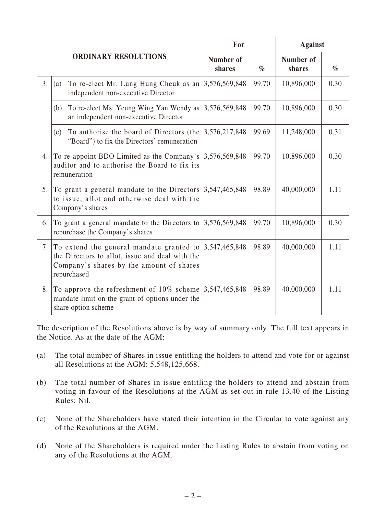| <b>ORDINARY RESOLUTIONS</b> |                                                                                                                                                        | For                 |       | <b>Against</b>             |      |
|-----------------------------|--------------------------------------------------------------------------------------------------------------------------------------------------------|---------------------|-------|----------------------------|------|
|                             |                                                                                                                                                        | Number of<br>shares | $\%$  | <b>Number of</b><br>shares | $\%$ |
| 3.                          | To re-elect Mr. Lung Hung Cheuk as an<br>(a)<br>independent non-executive Director                                                                     | 3,576,569,848       | 99.70 | 10,896,000                 | 0.30 |
|                             | To re-elect Ms. Yeung Wing Yan Wendy as<br>(b)<br>an independent non-executive Director                                                                | 3,576,569,848       | 99.70 | 10,896,000                 | 0.30 |
|                             | To authorise the board of Directors (the<br>(c)<br>"Board") to fix the Directors' remuneration                                                         | 3,576,217,848       | 99.69 | 11,248,000                 | 0.31 |
| 4.                          | To re-appoint BDO Limited as the Company's<br>auditor and to authorise the Board to fix its<br>remuneration                                            | 3,576,569,848       | 99.70 | 10,896,000                 | 0.30 |
| 5.                          | To grant a general mandate to the Directors<br>to issue, allot and otherwise deal with the<br>Company's shares                                         | 3,547,465,848       | 98.89 | 40,000,000                 | 1.11 |
| 6.                          | To grant a general mandate to the Directors to<br>repurchase the Company's shares                                                                      | 3,576,569,848       | 99.70 | 10,896,000                 | 0.30 |
| 7.                          | To extend the general mandate granted to<br>the Directors to allot, issue and deal with the<br>Company's shares by the amount of shares<br>repurchased | 3,547,465,848       | 98.89 | 40,000,000                 | 1.11 |
| 8.                          | To approve the refreshment of 10% scheme<br>mandate limit on the grant of options under the<br>share option scheme                                     | 3,547,465,848       | 98.89 | 40,000,000                 | 1.11 |

The description of the Resolutions above is by way of summary only. The full text appears in the Notice. As at the date of the AGM:

- (a) The total number of Shares in issue entitling the holders to attend and vote for or against all Resolutions at the AGM: 5,548,125,668.
- (b) The total number of Shares in issue entitling the holders to attend and abstain from voting in favour of the Resolutions at the AGM as set out in rule 13.40 of the Listing Rules: Nil.
- (c) None of the Shareholders have stated their intention in the Circular to vote against any of the Resolutions at the AGM.
- (d) None of the Shareholders is required under the Listing Rules to abstain from voting on any of the Resolutions at the AGM.